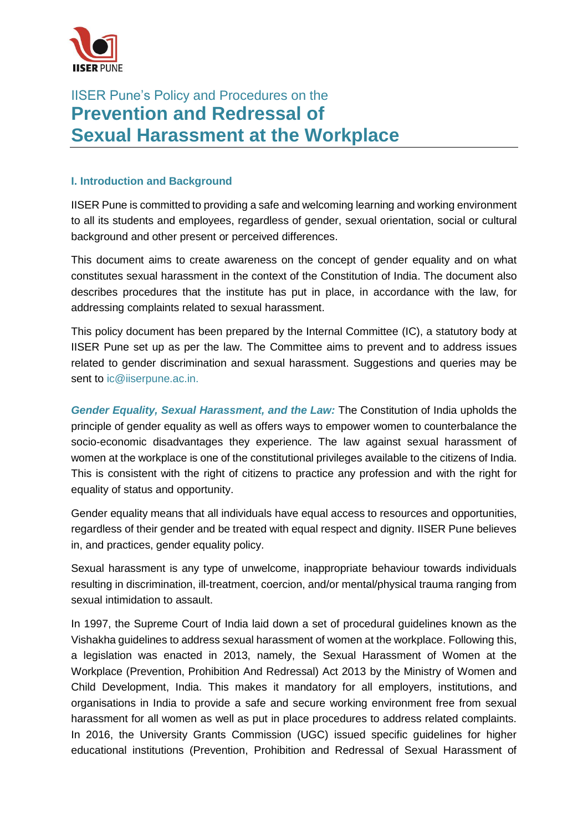

# IISER Pune's Policy and Procedures on the **Prevention and Redressal of Sexual Harassment at the Workplace**

## **I. Introduction and Background**

IISER Pune is committed to providing a safe and welcoming learning and working environment to all its students and employees, regardless of gender, sexual orientation, social or cultural background and other present or perceived differences.

This document aims to create awareness on the concept of gender equality and on what constitutes sexual harassment in the context of the Constitution of India. The document also describes procedures that the institute has put in place, in accordance with the law, for addressing complaints related to sexual harassment.

This policy document has been prepared by the Internal Committee (IC), a statutory body at IISER Pune set up as per the law. The Committee aims to prevent and to address issues related to gender discrimination and sexual harassment. Suggestions and queries may be sent to [ic@iiserpune.ac.in.](mailto:ic@iiserpune.ac.in)

*Gender Equality, Sexual Harassment, and the Law:* The Constitution of India upholds the principle of gender equality as well as offers ways to empower women to counterbalance the socio-economic disadvantages they experience. The law against sexual harassment of women at the workplace is one of the constitutional privileges available to the citizens of India. This is consistent with the right of citizens to practice any profession and with the right for equality of status and opportunity.

Gender equality means that all individuals have equal access to resources and opportunities, regardless of their gender and be treated with equal respect and dignity. IISER Pune believes in, and practices, gender equality policy.

Sexual harassment is any type of unwelcome, inappropriate behaviour towards individuals resulting in discrimination, ill-treatment, coercion, and/or mental/physical trauma ranging from sexual intimidation to assault.

In 1997, the Supreme Court of India laid down a set of procedural guidelines known as the Vishakha guidelines to address sexual harassment of women at the workplace. Following this, a legislation was enacted in 2013, namely, the Sexual Harassment of Women at the Workplace (Prevention, Prohibition And Redressal) Act 2013 by the Ministry of Women and Child Development, India. This makes it mandatory for all employers, institutions, and organisations in India to provide a safe and secure working environment free from sexual harassment for all women as well as put in place procedures to address related complaints. In 2016, the University Grants Commission (UGC) issued specific guidelines for higher educational institutions (Prevention, Prohibition and Redressal of Sexual Harassment of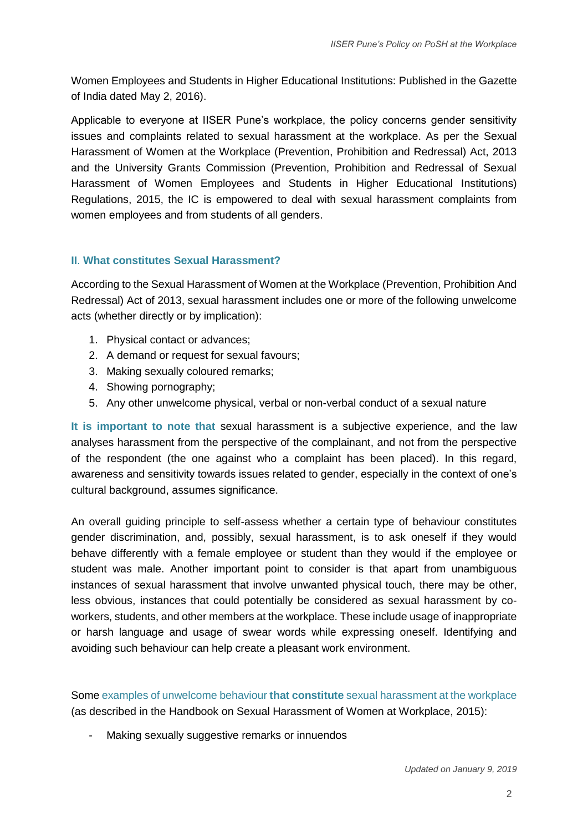Women Employees and Students in Higher Educational Institutions: Published in the Gazette of India dated May 2, 2016).

Applicable to everyone at IISER Pune's workplace, the policy concerns gender sensitivity issues and complaints related to sexual harassment at the workplace. As per the Sexual Harassment of Women at the Workplace (Prevention, Prohibition and Redressal) Act, 2013 and the University Grants Commission (Prevention, Prohibition and Redressal of Sexual Harassment of Women Employees and Students in Higher Educational Institutions) Regulations, 2015, the IC is empowered to deal with sexual harassment complaints from women employees and from students of all genders.

#### **II**. **What constitutes Sexual Harassment?**

According to the Sexual Harassment of Women at the Workplace (Prevention, Prohibition And Redressal) Act of 2013, sexual harassment includes one or more of the following unwelcome acts (whether directly or by implication):

- 1. Physical contact or advances;
- 2. A demand or request for sexual favours;
- 3. Making sexually coloured remarks;
- 4. Showing pornography;
- 5. Any other unwelcome physical, verbal or non-verbal conduct of a sexual nature

**It is important to note that** sexual harassment is a subjective experience, and the law analyses harassment from the perspective of the complainant, and not from the perspective of the respondent (the one against who a complaint has been placed). In this regard, awareness and sensitivity towards issues related to gender, especially in the context of one's cultural background, assumes significance.

An overall guiding principle to self-assess whether a certain type of behaviour constitutes gender discrimination, and, possibly, sexual harassment, is to ask oneself if they would behave differently with a female employee or student than they would if the employee or student was male. Another important point to consider is that apart from unambiguous instances of sexual harassment that involve unwanted physical touch, there may be other, less obvious, instances that could potentially be considered as sexual harassment by coworkers, students, and other members at the workplace. These include usage of inappropriate or harsh language and usage of swear words while expressing oneself. Identifying and avoiding such behaviour can help create a pleasant work environment.

Some examples of unwelcome behaviour **that constitute** sexual harassment at the workplace (as described in the [Handbook on Sexual Harassment of Women at Workplace, 2015\)](http://www.iiserpune.ac.in/userfiles/files/Handbook%20on%20Sexual%20Harassment%20of%20Women%20at%20Workplace.pdf):

Making sexually suggestive remarks or innuendos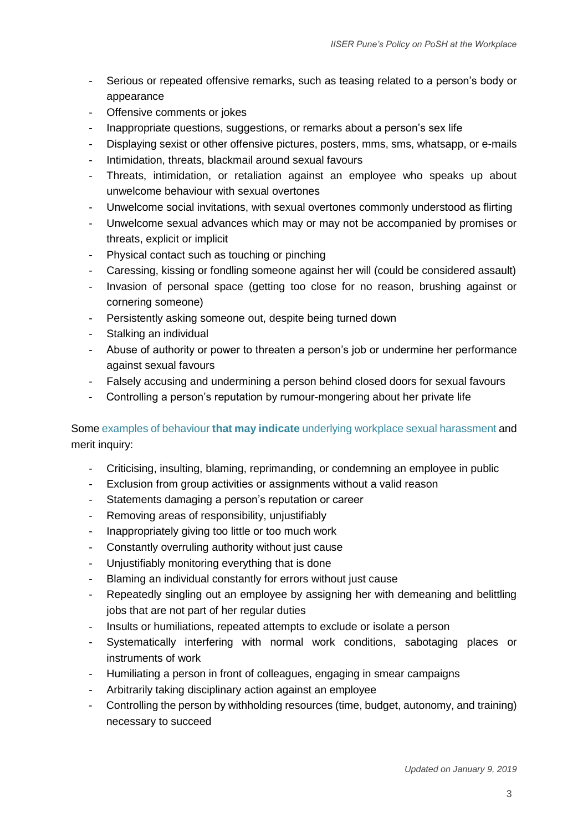- Serious or repeated offensive remarks, such as teasing related to a person's body or appearance
- Offensive comments or jokes
- Inappropriate questions, suggestions, or remarks about a person's sex life
- Displaying sexist or other offensive pictures, posters, mms, sms, whatsapp, or e-mails
- Intimidation, threats, blackmail around sexual favours
- Threats, intimidation, or retaliation against an employee who speaks up about unwelcome behaviour with sexual overtones
- Unwelcome social invitations, with sexual overtones commonly understood as flirting
- Unwelcome sexual advances which may or may not be accompanied by promises or threats, explicit or implicit
- Physical contact such as touching or pinching
- Caressing, kissing or fondling someone against her will (could be considered assault)
- Invasion of personal space (getting too close for no reason, brushing against or cornering someone)
- Persistently asking someone out, despite being turned down
- Stalking an individual
- Abuse of authority or power to threaten a person's job or undermine her performance against sexual favours
- Falsely accusing and undermining a person behind closed doors for sexual favours
- Controlling a person's reputation by rumour-mongering about her private life

# Some examples of behaviour **that may indicate** underlying workplace sexual harassment and merit inquiry:

- Criticising, insulting, blaming, reprimanding, or condemning an employee in public
- Exclusion from group activities or assignments without a valid reason
- Statements damaging a person's reputation or career
- Removing areas of responsibility, unjustifiably
- Inappropriately giving too little or too much work
- Constantly overruling authority without just cause
- Unjustifiably monitoring everything that is done
- Blaming an individual constantly for errors without just cause
- Repeatedly singling out an employee by assigning her with demeaning and belittling jobs that are not part of her regular duties
- Insults or humiliations, repeated attempts to exclude or isolate a person
- Systematically interfering with normal work conditions, sabotaging places or instruments of work
- Humiliating a person in front of colleagues, engaging in smear campaigns
- Arbitrarily taking disciplinary action against an employee
- Controlling the person by withholding resources (time, budget, autonomy, and training) necessary to succeed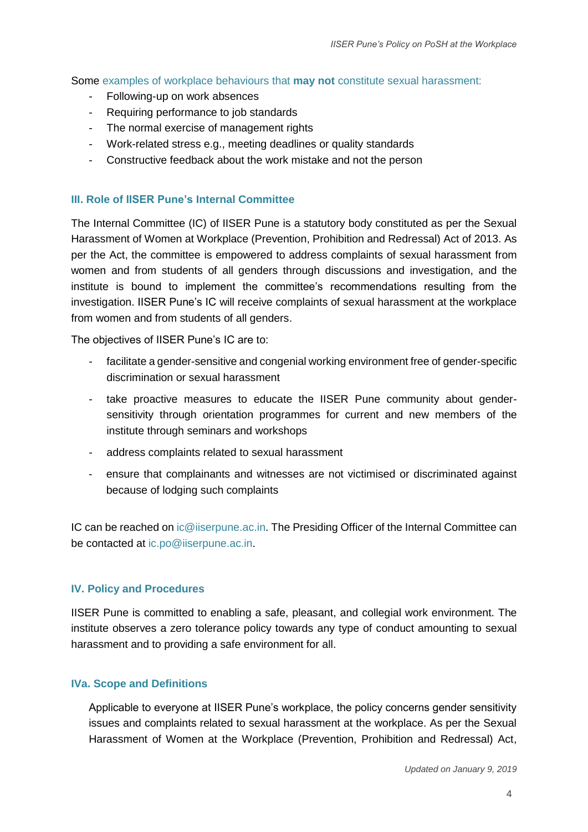Some examples of workplace behaviours that **may not** constitute sexual harassment:

- Following-up on work absences
- Requiring performance to job standards
- The normal exercise of management rights
- Work-related stress e.g., meeting deadlines or quality standards
- Constructive feedback about the work mistake and not the person

#### **III. Role of IISER Pune's Internal Committee**

The Internal Committee (IC) of IISER Pune is a statutory body constituted as per the Sexual Harassment of Women at Workplace (Prevention, Prohibition and Redressal) Act of 2013. As per the Act, the committee is empowered to address complaints of sexual harassment from women and from students of all genders through discussions and investigation, and the institute is bound to implement the committee's recommendations resulting from the investigation. IISER Pune's IC will receive complaints of sexual harassment at the workplace from women and from students of all genders.

The objectives of IISER Pune's IC are to:

- facilitate a gender-sensitive and congenial working environment free of gender-specific discrimination or sexual harassment
- take proactive measures to educate the IISER Pune community about gendersensitivity through orientation programmes for current and new members of the institute through seminars and workshops
- address complaints related to sexual harassment
- ensure that complainants and witnesses are not victimised or discriminated against because of lodging such complaints

IC can be reached on ic@iiserpune.ac.in. The Presiding Officer of the Internal Committee can be contacted at ic.po@iiserpune.ac.in.

## **IV. Policy and Procedures**

IISER Pune is committed to enabling a safe, pleasant, and collegial work environment. The institute observes a zero tolerance policy towards any type of conduct amounting to sexual harassment and to providing a safe environment for all.

## **IVa. Scope and Definitions**

Applicable to everyone at IISER Pune's workplace, the policy concerns gender sensitivity issues and complaints related to sexual harassment at the workplace. As per the Sexual Harassment of Women at the Workplace (Prevention, Prohibition and Redressal) Act,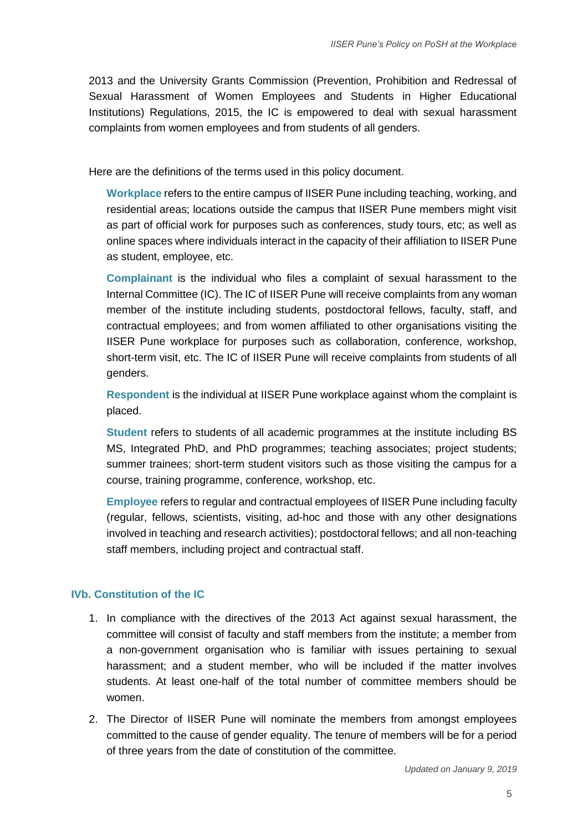2013 and the University Grants Commission (Prevention, Prohibition and Redressal of Sexual Harassment of Women Employees and Students in Higher Educational Institutions) Regulations, 2015, the IC is empowered to deal with sexual harassment complaints from women employees and from students of all genders.

Here are the definitions of the terms used in this policy document.

**Workplace** refers to the entire campus of IISER Pune including teaching, working, and residential areas; locations outside the campus that IISER Pune members might visit as part of official work for purposes such as conferences, study tours, etc; as well as online spaces where individuals interact in the capacity of their affiliation to IISER Pune as student, employee, etc.

**Complainant** is the individual who files a complaint of sexual harassment to the Internal Committee (IC). The IC of IISER Pune will receive complaints from any woman member of the institute including students, postdoctoral fellows, faculty, staff, and contractual employees; and from women affiliated to other organisations visiting the IISER Pune workplace for purposes such as collaboration, conference, workshop, short-term visit, etc. The IC of IISER Pune will receive complaints from students of all genders.

**Respondent** is the individual at IISER Pune workplace against whom the complaint is placed.

**Student** refers to students of all academic programmes at the institute including BS MS, Integrated PhD, and PhD programmes; teaching associates; project students; summer trainees; short-term student visitors such as those visiting the campus for a course, training programme, conference, workshop, etc.

**Employee** refers to regular and contractual employees of IISER Pune including faculty (regular, fellows, scientists, visiting, ad-hoc and those with any other designations involved in teaching and research activities); postdoctoral fellows; and all non-teaching staff members, including project and contractual staff.

## **IVb. Constitution of the IC**

- 1. In compliance with the directives of the 2013 Act against sexual harassment, the committee will consist of faculty and staff members from the institute; a member from a non-government organisation who is familiar with issues pertaining to sexual harassment; and a student member, who will be included if the matter involves students. At least one-half of the total number of committee members should be women.
- 2. The Director of IISER Pune will nominate the members from amongst employees committed to the cause of gender equality. The tenure of members will be for a period of three years from the date of constitution of the committee.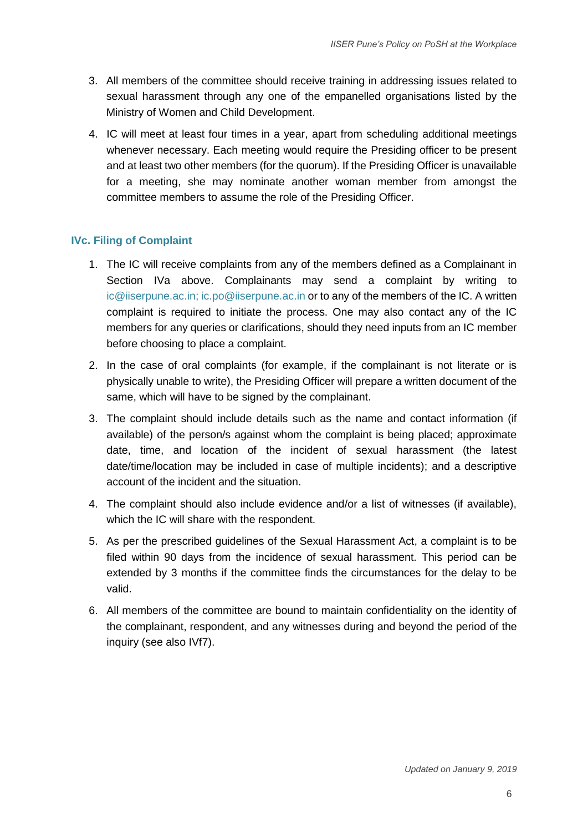- 3. All members of the committee should receive training in addressing issues related to sexual harassment through any one of the empanelled organisations listed by the Ministry of Women and Child Development.
- 4. IC will meet at least four times in a year, apart from scheduling additional meetings whenever necessary. Each meeting would require the Presiding officer to be present and at least two other members (for the quorum). If the Presiding Officer is unavailable for a meeting, she may nominate another woman member from amongst the committee members to assume the role of the Presiding Officer.

## **IVc. Filing of Complaint**

- 1. The IC will receive complaints from any of the members defined as a Complainant in Section IVa above. Complainants may send a complaint by writing to [ic@iiserpune.ac.in;](mailto:ic@iiserpune.ac.in) ic.po@iiserpune.ac.in or to any of the members of the IC. A written complaint is required to initiate the process. One may also contact any of the IC members for any queries or clarifications, should they need inputs from an IC member before choosing to place a complaint.
- 2. In the case of oral complaints (for example, if the complainant is not literate or is physically unable to write), the Presiding Officer will prepare a written document of the same, which will have to be signed by the complainant.
- 3. The complaint should include details such as the name and contact information (if available) of the person/s against whom the complaint is being placed; approximate date, time, and location of the incident of sexual harassment (the latest date/time/location may be included in case of multiple incidents); and a descriptive account of the incident and the situation.
- 4. The complaint should also include evidence and/or a list of witnesses (if available), which the IC will share with the respondent.
- 5. As per the prescribed guidelines of the Sexual Harassment Act, a complaint is to be filed within 90 days from the incidence of sexual harassment. This period can be extended by 3 months if the committee finds the circumstances for the delay to be valid.
- 6. All members of the committee are bound to maintain confidentiality on the identity of the complainant, respondent, and any witnesses during and beyond the period of the inquiry (see also IVf7).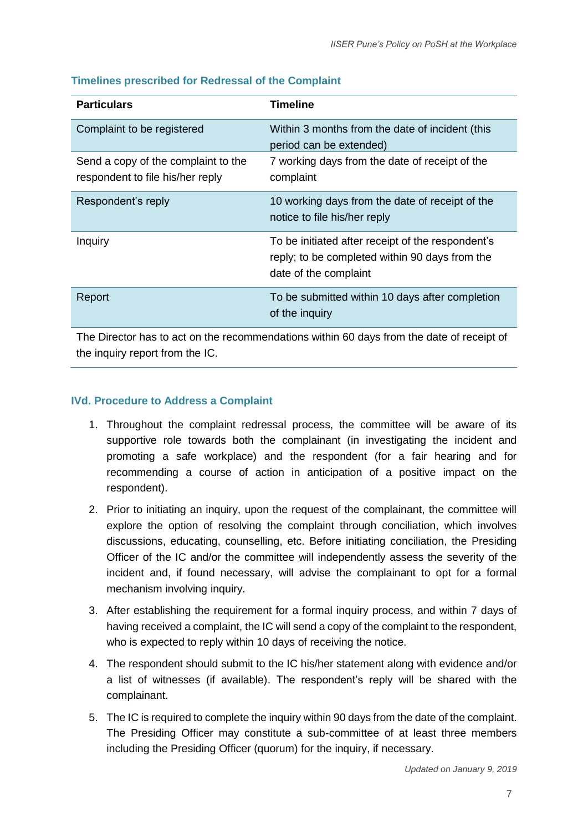| <b>Particulars</b>                                                      | <b>Timeline</b>                                                                                                              |
|-------------------------------------------------------------------------|------------------------------------------------------------------------------------------------------------------------------|
| Complaint to be registered                                              | Within 3 months from the date of incident (this<br>period can be extended)                                                   |
| Send a copy of the complaint to the<br>respondent to file his/her reply | 7 working days from the date of receipt of the<br>complaint                                                                  |
| Respondent's reply                                                      | 10 working days from the date of receipt of the<br>notice to file his/her reply                                              |
| Inquiry                                                                 | To be initiated after receipt of the respondent's<br>reply; to be completed within 90 days from the<br>date of the complaint |
| Report                                                                  | To be submitted within 10 days after completion<br>of the inquiry                                                            |

## **Timelines prescribed for Redressal of the Complaint**

The Director has to act on the recommendations within 60 days from the date of receipt of the inquiry report from the IC.

## **IVd. Procedure to Address a Complaint**

- 1. Throughout the complaint redressal process, the committee will be aware of its supportive role towards both the complainant (in investigating the incident and promoting a safe workplace) and the respondent (for a fair hearing and for recommending a course of action in anticipation of a positive impact on the respondent).
- 2. Prior to initiating an inquiry, upon the request of the complainant, the committee will explore the option of resolving the complaint through conciliation, which involves discussions, educating, counselling, etc. Before initiating conciliation, the Presiding Officer of the IC and/or the committee will independently assess the severity of the incident and, if found necessary, will advise the complainant to opt for a formal mechanism involving inquiry.
- 3. After establishing the requirement for a formal inquiry process, and within 7 days of having received a complaint, the IC will send a copy of the complaint to the respondent, who is expected to reply within 10 days of receiving the notice.
- 4. The respondent should submit to the IC his/her statement along with evidence and/or a list of witnesses (if available). The respondent's reply will be shared with the complainant.
- 5. The IC is required to complete the inquiry within 90 days from the date of the complaint. The Presiding Officer may constitute a sub-committee of at least three members including the Presiding Officer (quorum) for the inquiry, if necessary.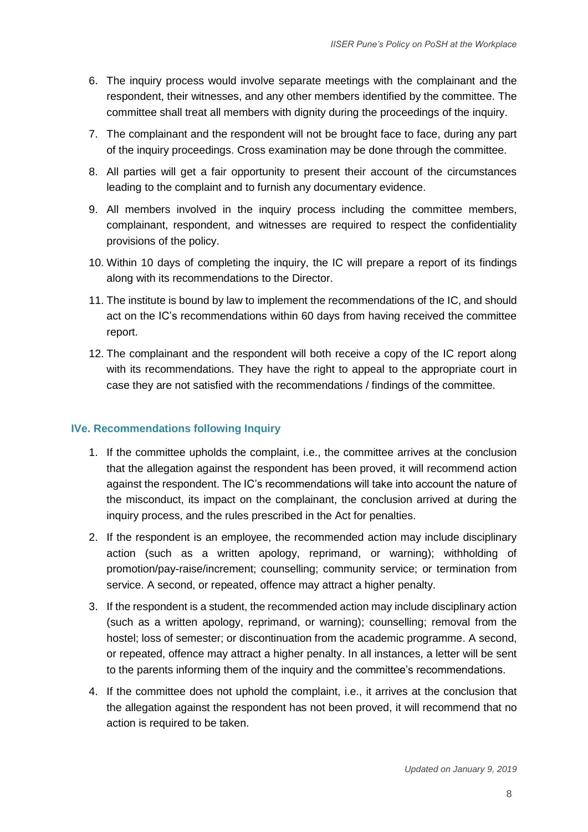- 6. The inquiry process would involve separate meetings with the complainant and the respondent, their witnesses, and any other members identified by the committee. The committee shall treat all members with dignity during the proceedings of the inquiry.
- 7. The complainant and the respondent will not be brought face to face, during any part of the inquiry proceedings. Cross examination may be done through the committee.
- 8. All parties will get a fair opportunity to present their account of the circumstances leading to the complaint and to furnish any documentary evidence.
- 9. All members involved in the inquiry process including the committee members, complainant, respondent, and witnesses are required to respect the confidentiality provisions of the policy.
- 10. Within 10 days of completing the inquiry, the IC will prepare a report of its findings along with its recommendations to the Director.
- 11. The institute is bound by law to implement the recommendations of the IC, and should act on the IC's recommendations within 60 days from having received the committee report.
- 12. The complainant and the respondent will both receive a copy of the IC report along with its recommendations. They have the right to appeal to the appropriate court in case they are not satisfied with the recommendations / findings of the committee.

#### **IVe. Recommendations following Inquiry**

- 1. If the committee upholds the complaint, i.e., the committee arrives at the conclusion that the allegation against the respondent has been proved, it will recommend action against the respondent. The IC's recommendations will take into account the nature of the misconduct, its impact on the complainant, the conclusion arrived at during the inquiry process, and the rules prescribed in the Act for penalties.
- 2. If the respondent is an employee, the recommended action may include disciplinary action (such as a written apology, reprimand, or warning); withholding of promotion/pay-raise/increment; counselling; community service; or termination from service. A second, or repeated, offence may attract a higher penalty.
- 3. If the respondent is a student, the recommended action may include disciplinary action (such as a written apology, reprimand, or warning); counselling; removal from the hostel; loss of semester; or discontinuation from the academic programme. A second, or repeated, offence may attract a higher penalty. In all instances, a letter will be sent to the parents informing them of the inquiry and the committee's recommendations.
- 4. If the committee does not uphold the complaint, i.e., it arrives at the conclusion that the allegation against the respondent has not been proved, it will recommend that no action is required to be taken.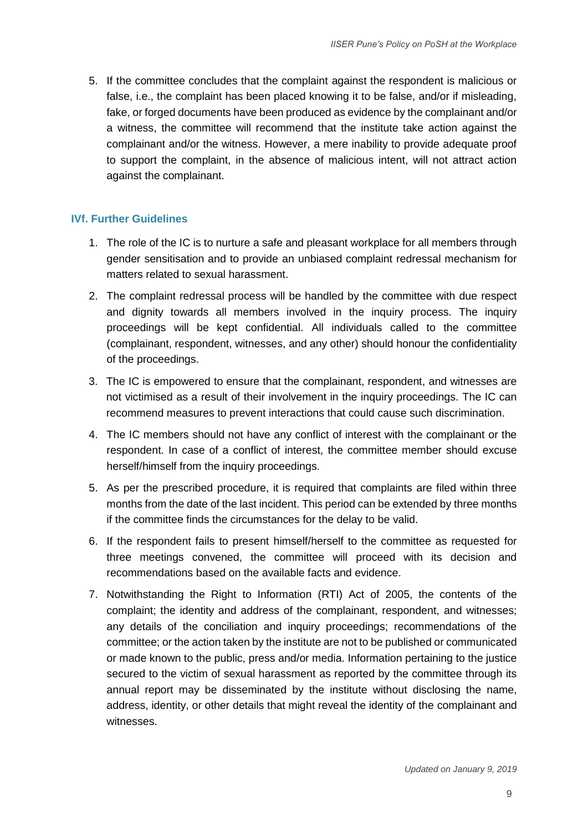5. If the committee concludes that the complaint against the respondent is malicious or false, i.e., the complaint has been placed knowing it to be false, and/or if misleading, fake, or forged documents have been produced as evidence by the complainant and/or a witness, the committee will recommend that the institute take action against the complainant and/or the witness. However, a mere inability to provide adequate proof to support the complaint, in the absence of malicious intent, will not attract action against the complainant.

#### **IVf. Further Guidelines**

- 1. The role of the IC is to nurture a safe and pleasant workplace for all members through gender sensitisation and to provide an unbiased complaint redressal mechanism for matters related to sexual harassment.
- 2. The complaint redressal process will be handled by the committee with due respect and dignity towards all members involved in the inquiry process. The inquiry proceedings will be kept confidential. All individuals called to the committee (complainant, respondent, witnesses, and any other) should honour the confidentiality of the proceedings.
- 3. The IC is empowered to ensure that the complainant, respondent, and witnesses are not victimised as a result of their involvement in the inquiry proceedings. The IC can recommend measures to prevent interactions that could cause such discrimination.
- 4. The IC members should not have any conflict of interest with the complainant or the respondent. In case of a conflict of interest, the committee member should excuse herself/himself from the inquiry proceedings.
- 5. As per the prescribed procedure, it is required that complaints are filed within three months from the date of the last incident. This period can be extended by three months if the committee finds the circumstances for the delay to be valid.
- 6. If the respondent fails to present himself/herself to the committee as requested for three meetings convened, the committee will proceed with its decision and recommendations based on the available facts and evidence.
- 7. Notwithstanding the Right to Information (RTI) Act of 2005, the contents of the complaint; the identity and address of the complainant, respondent, and witnesses; any details of the conciliation and inquiry proceedings; recommendations of the committee; or the action taken by the institute are not to be published or communicated or made known to the public, press and/or media. Information pertaining to the justice secured to the victim of sexual harassment as reported by the committee through its annual report may be disseminated by the institute without disclosing the name, address, identity, or other details that might reveal the identity of the complainant and witnesses.